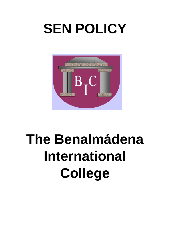# **SEN POLICY**



# **The Benalmádena International College**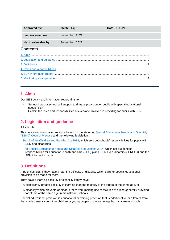| Approved by:        | [Keith Ellis]   |  | <b>Date: 18/9/21</b> |  |
|---------------------|-----------------|--|----------------------|--|
| Last reviewed on:   | September, 2021 |  |                      |  |
| Next review due by: | September, 2022 |  |                      |  |
| <b>Contents</b>     |                 |  |                      |  |
|                     |                 |  |                      |  |
|                     |                 |  |                      |  |
|                     |                 |  |                      |  |
|                     |                 |  |                      |  |
|                     |                 |  |                      |  |
|                     |                 |  |                      |  |
|                     |                 |  |                      |  |

# <span id="page-1-0"></span>**1. Aims**

Our SEN policy and information report aims to:

- Set out how our school will support and make provision for pupils with special educational needs (SEN)
- Explain the roles and responsibilities of everyone involved in providing for pupils with SEN

# <span id="page-1-1"></span>**2. Legislation and guidance**

All schools:

This policy and information report is based on the statutory Special Educational Needs and Disability [\(SEND\) Code of Practice](https://www.gov.uk/government/uploads/system/uploads/attachment_data/file/398815/SEND_Code_of_Practice_January_2015.pdf) and the following legislation:

[Part 3 of the Children and Families Act 2014,](http://www.legislation.gov.uk/ukpga/2014/6/part/3) which sets out schools' responsibilities for pupils with SEN and disabilities

[The Special Educational Needs and Disability Regulations 2014,](http://www.legislation.gov.uk/uksi/2014/1530/contents/made) which set out schools' responsibilities for education, health and care (EHC) plans, SEN Co-ordinators (SENCOs) and the SEN information report

# <span id="page-1-2"></span>**3. Definitions**

A pupil has SEN if they have a learning difficulty or disability which calls for special educational provision to be made for them.

They have a learning difficulty or disability if they have:

- A significantly greater difficulty in learning than the majority of the others of the same age, or
- A disability which prevents or hinders them from making use of facilities of a kind generally provided for others of the same age in mainstream schools

Special educational provision is educational or training provision that is additional to, or different from, that made generally for other children or young people of the same age by mainstream schools.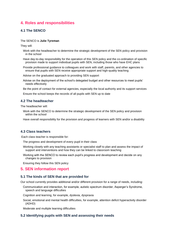# <span id="page-2-0"></span>**4. Roles and responsibilities**

## **4.1 The SENCO**

#### The SENCO is **Julie Tyreman**

They will:

- Work with the headteacher to determine the strategic development of the SEN policy and provision in the school
- Have day-to-day responsibility for the operation of this SEN policy and the co-ordination of specific provision made to support individual pupils with SEN, including those who have EHC plans
- Provide professional guidance to colleagues and work with staff, parents, and other agencies to ensure that pupils with SEN receive appropriate support and high-quality teaching

Advise on the graduated approach to providing SEN support

Advise on the deployment of the school's delegated budget and other resources to meet pupils' needs effectively

Be the point of contact for external agencies, especially the local authority and its support services

Ensure the school keeps the records of all pupils with SEN up to date

## **4.2 The headteacher**

The headteacher will:

Work with the SENCO to determine the strategic development of the SEN policy and provision within the school

Have overall responsibility for the provision and progress of learners with SEN and/or a disability

## **4.3 Class teachers**

Each class teacher is responsible for:

The progress and development of every pupil in their class

- Working closely with any teaching assistants or specialist staff to plan and assess the impact of support and interventions and how they can be linked to classroom teaching
- Working with the SENCO to review each pupil's progress and development and decide on any changes to provision

Ensuring they follow this SEN policy

## <span id="page-2-1"></span>**5. SEN information report**

#### **5.1 The kinds of SEN that are provided for**

Our school currently provides additional and/or different provision for a range of needs, including:

Communication and interaction, for example, autistic spectrum disorder, Asperger's Syndrome, speech and language difficulties

Cognition and learning, for example, dyslexia, dyspraxia

Social, emotional and mental health difficulties, for example, attention deficit hyperactivity disorder (ADHD)

Moderate and multiple learning difficulties

## **5.2 Identifying pupils with SEN and assessing their needs**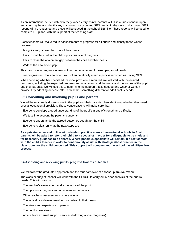As an international center with extremely varied entry points, parents will fill in a questionnaire upon entry, asking them to identify any diagnosed or suspected SEN needs. In the case of diagnosed SEN, reports will be requested and these will be placed in the school SEN file. These reports will be used to complete IEP plans, with the support of the teaching staff.

Class teachers will make regular assessments of progress for all pupils and identify those whose progress:

Is significantly slower than that of their peers

- Fails to match or better the child's previous rate of progress
- Fails to close the attainment gap between the child and their peers
- Widens the attainment gap

This may include progress in areas other than attainment, for example, social needs.

Slow progress and low attainment will not automatically mean a pupil is recorded as having SEN.

When deciding whether special educational provision is required, we will start with the desired outcomes, including the expected progress and attainment, and the views and the wishes of the pupil and their parents. We will use this to determine the support that is needed and whether we can provide it by adapting our core offer, or whether something different or additional is needed.

## **5.3 Consulting and involving pupils and parents**

We will have an early discussion with the pupil and their parents when identifying whether they need special educational provision. These conversations will make sure that:

Everyone develops a good understanding of the pupil's areas of strength and difficulty

We take into account the parents' concerns

Everyone understands the agreed outcomes sought for the child

Everyone is clear on what the next steps are

**As a private center and in line with standard practice across international schools in Spain, parents will be asked to refer their child to a specialist in order for a diagnosis to be made and for necessary guidance to be shared. Where possible, specialists will remain in direct contact with the child's teacher in order to continuously assist with strategies/best practice in the classroom, for the child concerned. This support will complement the school based IEP/review process.**

#### **5.4 Assessing and reviewing pupils' progress towards outcomes**

We will follow the graduated approach and the four-part cycle of **assess, plan, do, review**.

The class or subject teacher will work with the SENCO to carry out a clear analysis of the pupil's needs. This will draw on:

The teacher's assessment and experience of the pupil

Their previous progress and attainment or behaviour

Other teachers' assessments, where relevant

The individual's development in comparison to their peers

The views and experience of parents

The pupil's own views

Advice from external support services (following official diagnosis)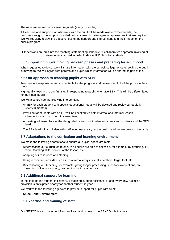The assessment will be reviewed regularly (every 3 months)

All teachers and support staff who work with the pupil will be made aware of their needs, the outcomes sought, the support provided, and any teaching strategies or approaches that are required. We will regularly review the effectiveness of the support and interventions and their impact on the pupil's progress.

IEP sessions are built into the teaching staff meeting schedule. A collaborative approach involving all stakeholders is used in order to devise IEP plans for students.

## **5.5 Supporting pupils moving between phases and preparing for adulthood**

When requested to do so, we will share information with the school, college, or other setting the pupil is moving to. We will agree with parents and pupils which information will be shared as part of this.

#### **5.6 Our approach to teaching pupils with SEN**

Teachers are responsible and accountable for the progress and development of all the pupils in their class.

High-quality teaching is our first step in responding to pupils who have SEN. This will be differentiated for individual pupils.

We will also provide the following interventions:

- An IEP for each student with special educational needs will be devised and reviewed regularly (every 3 months)
- Provision for students with an IEP will be checked via both informal and informal lesson observations and work scrutiny exercises.
- A meeting will take place at the designated review point between parents and students and the SEN lead

The SEN lead will also liaise with staff when necessary, at the designated review points in the cycle.

#### **5.7 Adaptations to the curriculum and learning environment**

We make the following adaptations to ensure all pupils' needs are met:

Differentiating our curriculum to ensure all pupils are able to access it, for example, by grouping, 1:1 work, teaching style, content of the lesson, etc.

Adapting our resources and staffing

Using recommended aids such as, coloured overlays, visual timetables, larger font, etc.

Differentiating our teaching, for example, giving longer processing times for examinations, preteaching of key vocabulary, reading instructions aloud, etc.

### **5.8 Additional support for learning**

In the case of one student in Primary, a teaching support assistant is used every day. A similar provision is anticipated shortly for another student in year 8.

We work with the following agencies to provide support for pupils with SEN:

**Shine Child Development**

### **5.9 Expertise and training of staff**

Our SENCO is also our school Pastoral Lead and is new to the SENCO role this year.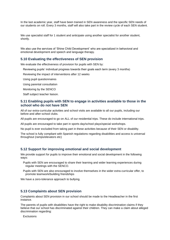In the last academic year, staff have been trained in SEN awareness and the specific SEN needs of our students on roll. Every 3 months, staff will also take part in the review cycle of each SEN student.

We use specialist staff for 1 student and anticipate using another specialist for another student, shortly.

We also use the services of 'Shine Child Development' who are specialized in behavioral and emotional development and speech and language therapy.

#### **5.10 Evaluating the effectiveness of SEN provision**

We evaluate the effectiveness of provision for pupils with SEN by:

Reviewing pupils' individual progress towards their goals each term (every 3 months)

Reviewing the impact of interventions after 12 weeks

Using pupil questionnaires

Using parental consultation

Monitoring by the SENCO

Staff subject teacher liaison.

## **5.11 Enabling pupils with SEN to engage in activities available to those in the school who do not have SEN**

All of our extra-curricular activities and school visits are available to all our pupils, including our before-and after-school clubs.

All pupils are encouraged to go on ALL of our residential trips. These do include international trips.

All pupils are encouraged to take part in sports day/school plays/special workshops.

No pupil is ever excluded from taking part in these activities because of their SEN or disability.

The school is fully compliant with Spanish regulations regarding disabilities and access is universal throughout (ramps/elevators etc)

## **5.12 Support for improving emotional and social development**

We provide support for pupils to improve their emotional and social development in the following ways:

- Pupils with SEN are encouraged to share their learning and wider learning experiences during regular meetings with the SENCO.
- Pupils with SEN are also encouraged to involve themselves in the wider extra-curricular offer, to promote teamwork/building friendships

We have a zero-tolerance approach to bullying.

#### **5.13 Complaints about SEN provision**

Complaints about SEN provision in our school should be made to the Headteacher in the first instance.

The parents of pupils with disabilities have the right to make disability discrimination claims if they believe that our school has discriminated against their children. They can make a claim about alleged discrimination regarding:

Exclusions